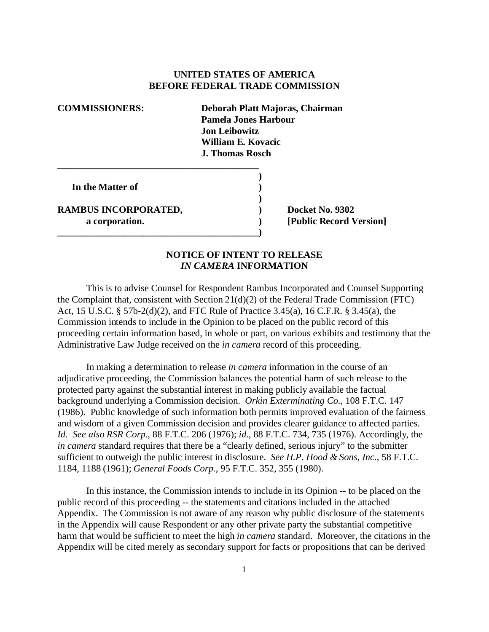## **UNITED STATES OF AMERICA BEFORE FEDERAL TRADE COMMISSION**

**\_\_\_\_\_\_\_\_\_\_\_\_\_\_\_\_\_\_\_\_\_\_\_\_\_\_\_\_\_\_\_\_\_\_\_\_\_\_\_\_\_\_ COMMISSIONERS: Deborah Platt Majoras, Chairman Pamela Jones Harbour Jon Leibowitz William E. Kovacic J. Thomas Rosch ) In the Matter of ) ) RAMBUS INCORPORATED, ) Docket No. 9302 a corporation. ) [Public Record Version]** 

**\_\_\_\_\_\_\_\_\_\_\_\_\_\_\_\_\_\_\_\_\_\_\_\_\_\_\_\_\_\_\_\_\_\_\_\_\_\_\_\_\_\_)** 

## **NOTICE OF INTENT TO RELEASE**  *IN CAMERA* **INFORMATION**

This is to advise Counsel for Respondent Rambus Incorporated and Counsel Supporting the Complaint that, consistent with Section 21(d)(2) of the Federal Trade Commission (FTC) Act, 15 U.S.C. § 57b-2(d)(2), and FTC Rule of Practice 3.45(a), 16 C.F.R. § 3.45(a), the Commission intends to include in the Opinion to be placed on the public record of this proceeding certain information based, in whole or part, on various exhibits and testimony that the Administrative Law Judge received on the *in camera* record of this proceeding.

In making a determination to release *in camera* information in the course of an adjudicative proceeding, the Commission balances the potential harm of such release to the protected party against the substantial interest in making publicly available the factual background underlying a Commission decision. *Orkin Exterminating Co.*, 108 F.T.C. 147 (1986). Public knowledge of such information both permits improved evaluation of the fairness and wisdom of a given Commission decision and provides clearer guidance to affected parties. *Id*. *See also RSR Corp*., 88 F.T.C. 206 (1976); *id*., 88 F.T.C. 734, 735 (1976). Accordingly, the *in camera* standard requires that there be a "clearly defined, serious injury" to the submitter sufficient to outweigh the public interest in disclosure. *See H.P. Hood & Sons, Inc.*, 58 F.T.C. 1184, 1188 (1961); *General Foods Corp.*, 95 F.T.C. 352, 355 (1980).

In this instance, the Commission intends to include in its Opinion -- to be placed on the public record of this proceeding -- the statements and citations included in the attached Appendix. The Commission is not aware of any reason why public disclosure of the statements in the Appendix will cause Respondent or any other private party the substantial competitive harm that would be sufficient to meet the high *in camera* standard. Moreover, the citations in the Appendix will be cited merely as secondary support for facts or propositions that can be derived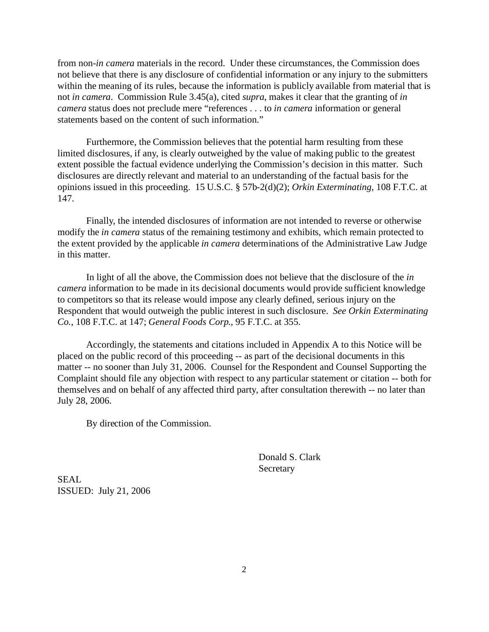from non-*in camera* materials in the record. Under these circumstances, the Commission does not believe that there is any disclosure of confidential information or any injury to the submitters within the meaning of its rules, because the information is publicly available from material that is not *in camera*. Commission Rule 3.45(a), cited *supra*, makes it clear that the granting of *in camera* status does not preclude mere "references . . . to *in camera* information or general statements based on the content of such information."

Furthermore, the Commission believes that the potential harm resulting from these limited disclosures, if any, is clearly outweighed by the value of making public to the greatest extent possible the factual evidence underlying the Commission's decision in this matter. Such disclosures are directly relevant and material to an understanding of the factual basis for the opinions issued in this proceeding. 15 U.S.C. § 57b-2(d)(2); *Orkin Exterminating*, 108 F.T.C. at 147.

Finally, the intended disclosures of information are not intended to reverse or otherwise modify the *in camera* status of the remaining testimony and exhibits, which remain protected to the extent provided by the applicable *in camera* determinations of the Administrative Law Judge in this matter.

In light of all the above, the Commission does not believe that the disclosure of the *in camera* information to be made in its decisional documents would provide sufficient knowledge to competitors so that its release would impose any clearly defined, serious injury on the Respondent that would outweigh the public interest in such disclosure. *See Orkin Exterminating Co.*, 108 F.T.C. at 147; *General Foods Corp*., 95 F.T.C. at 355.

Accordingly, the statements and citations included in Appendix A to this Notice will be placed on the public record of this proceeding -- as part of the decisional documents in this matter -- no sooner than July 31, 2006. Counsel for the Respondent and Counsel Supporting the Complaint should file any objection with respect to any particular statement or citation -- both for themselves and on behalf of any affected third party, after consultation therewith -- no later than July 28, 2006.

By direction of the Commission.

Donald S. Clark Secretary

SEAL ISSUED: July 21, 2006